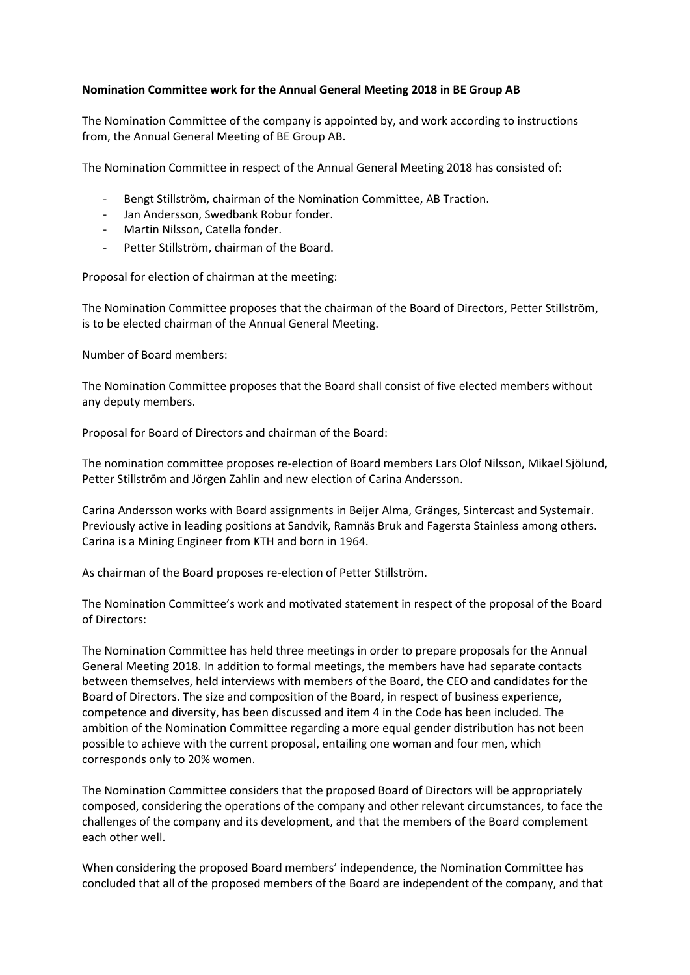## **Nomination Committee work for the Annual General Meeting 2018 in BE Group AB**

The Nomination Committee of the company is appointed by, and work according to instructions from, the Annual General Meeting of BE Group AB.

The Nomination Committee in respect of the Annual General Meeting 2018 has consisted of:

- Bengt Stillström, chairman of the Nomination Committee, AB Traction.
- Jan Andersson, Swedbank Robur fonder.
- Martin Nilsson, Catella fonder.
- Petter Stillström, chairman of the Board.

Proposal for election of chairman at the meeting:

The Nomination Committee proposes that the chairman of the Board of Directors, Petter Stillström, is to be elected chairman of the Annual General Meeting.

Number of Board members:

The Nomination Committee proposes that the Board shall consist of five elected members without any deputy members.

Proposal for Board of Directors and chairman of the Board:

The nomination committee proposes re-election of Board members Lars Olof Nilsson, Mikael Sjölund, Petter Stillström and Jörgen Zahlin and new election of Carina Andersson.

Carina Andersson works with Board assignments in Beijer Alma, Gränges, Sintercast and Systemair. Previously active in leading positions at Sandvik, Ramnäs Bruk and Fagersta Stainless among others. Carina is a Mining Engineer from KTH and born in 1964.

As chairman of the Board proposes re-election of Petter Stillström.

The Nomination Committee's work and motivated statement in respect of the proposal of the Board of Directors:

The Nomination Committee has held three meetings in order to prepare proposals for the Annual General Meeting 2018. In addition to formal meetings, the members have had separate contacts between themselves, held interviews with members of the Board, the CEO and candidates for the Board of Directors. The size and composition of the Board, in respect of business experience, competence and diversity, has been discussed and item 4 in the Code has been included. The ambition of the Nomination Committee regarding a more equal gender distribution has not been possible to achieve with the current proposal, entailing one woman and four men, which corresponds only to 20% women.

The Nomination Committee considers that the proposed Board of Directors will be appropriately composed, considering the operations of the company and other relevant circumstances, to face the challenges of the company and its development, and that the members of the Board complement each other well.

When considering the proposed Board members' independence, the Nomination Committee has concluded that all of the proposed members of the Board are independent of the company, and that